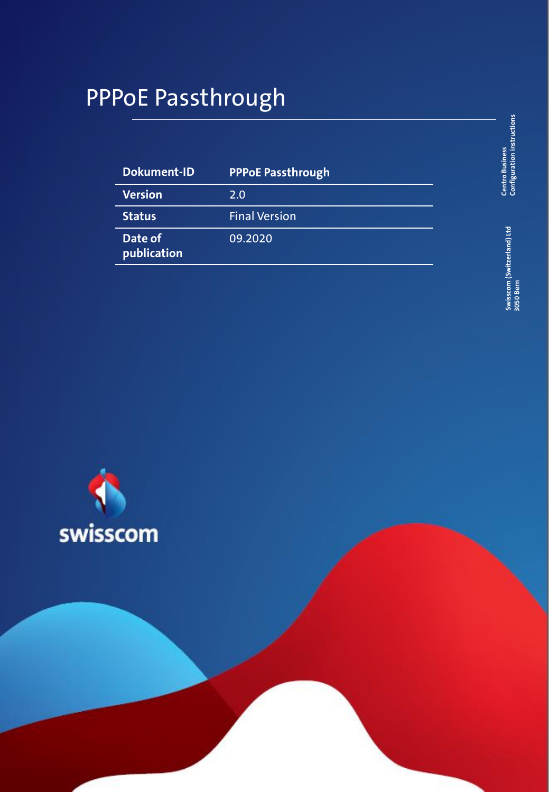# PPPoE Passthrough

| Dokument-ID            | <b>PPPoE Passthrough</b> |
|------------------------|--------------------------|
| <b>Version</b>         | 2.0                      |
| <b>Status</b>          | <b>Final Version</b>     |
| Date of<br>publication | 09.2020                  |

**Centro Business**<br>Configuration instructions **Configuration instructions Centro Business** 

> Swisscom (Switzerland) Ltd<br>3050 Bern **Swisscom (Switzerland) Ltd 3050 Bern**

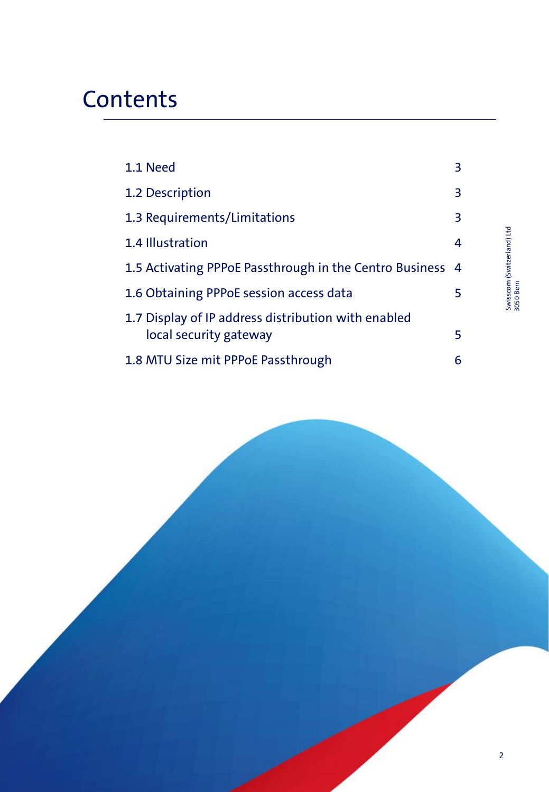# **Contents**

| 1.1 Need                                                                      | З |
|-------------------------------------------------------------------------------|---|
| 1.2 Description                                                               | 3 |
| 1.3 Requirements/Limitations                                                  | 3 |
| 1.4 Illustration                                                              | 4 |
| 1.5 Activating PPPoE Passthrough in the Centro Business 4                     |   |
| 1.6 Obtaining PPPoE session access data                                       | 5 |
| 1.7 Display of IP address distribution with enabled<br>local security gateway | 5 |
|                                                                               |   |
| 1.8 MTU Size mit PPPoE Passthrough                                            | 6 |

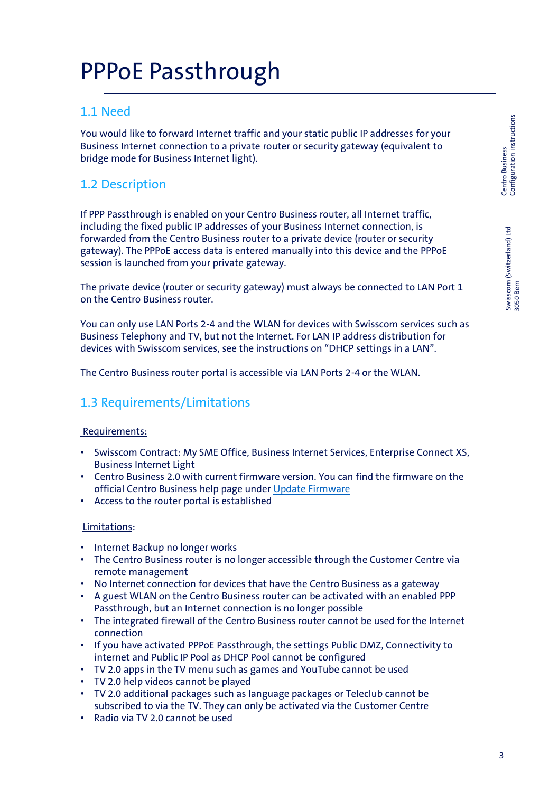Swisscom (Switzerland) Ltd 3050 Bern

Swisscom (Switzerland) Ltd<br>3050 Bern

#### 1.1 Need

You would like to forward Internet traffic and your static public IP addresses for your Business Internet connection to a private router or security gateway (equivalent to bridge mode for Business Internet light).

## 1.2 Description

If PPP Passthrough is enabled on your Centro Business router, all Internet traffic, including the fixed public IP addresses of your Business Internet connection, is forwarded from the Centro Business router to a private device (router or security gateway). The PPPoE access data is entered manually into this device and the PPPoE session is launched from your private gateway.

The private device (router or security gateway) must always be connected to LAN Port 1 on the Centro Business router.

You can only use LAN Ports 2-4 and the WLAN for devices with Swisscom services such as Business Telephony and TV, but not the Internet. For LAN IP address distribution for devices with Swisscom services, see the instructions on "DHCP settings in a LAN".

The Centro Business router portal is accessible via LAN Ports 2-4 or the WLAN.

## 1.3 Requirements/Limitations

#### Requirements:

- Swisscom Contract: My SME Office, Business Internet Services, Enterprise Connect XS, Business Internet Light
- Centro Business 2.0 with current firmware version. You can find the firmware on the official Centro Business help page under [Update Firmware](http://www.swisscom.ch/centrobusiness2-fw)
- Access to the router portal is established

#### Limitations:

- Internet Backup no longer works
- The Centro Business router is no longer accessible through the Customer Centre via remote management
- No Internet connection for devices that have the Centro Business as a gateway
- A guest WLAN on the Centro Business router can be activated with an enabled PPP Passthrough, but an Internet connection is no longer possible
- The integrated firewall of the Centro Business router cannot be used for the Internet connection
- If you have activated PPPoE Passthrough, the settings Public DMZ, Connectivity to internet and Public IP Pool as DHCP Pool cannot be configured
- TV 2.0 apps in the TV menu such as games and YouTube cannot be used
- TV 2.0 help videos cannot be played
- TV 2.0 additional packages such as language packages or Teleclub cannot be subscribed to via the TV. They can only be activated via the Customer Centre
- Radio via TV 2.0 cannot be used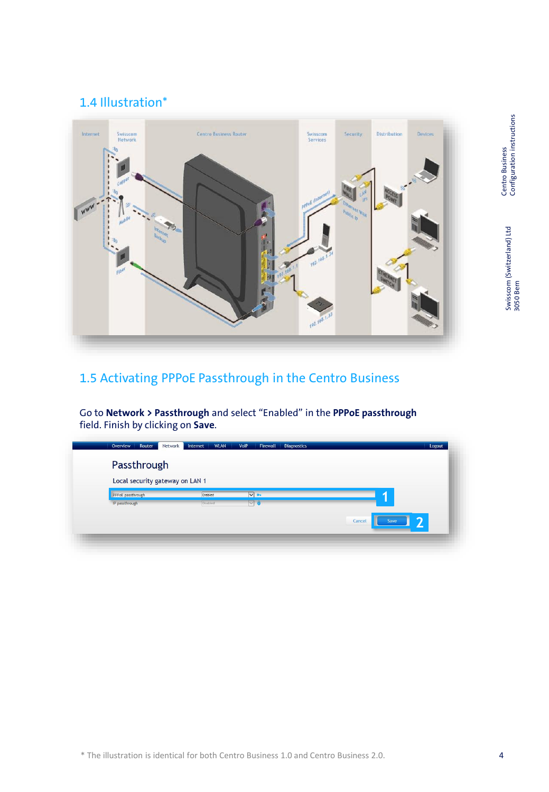#### 1.4 Illustration\*



## 1.5 Activating PPPoE Passthrough in the Centro Business

Go to **Network > Passthrough** and select "Enabled" in the **PPPoE passthrough** field. Finish by clicking on **Save**.

| Passthrough                     |          |                          |                     |
|---------------------------------|----------|--------------------------|---------------------|
| Local security gateway on LAN 1 |          |                          |                     |
| PPPoE passthrough               | Enabled  | $V$ or                   |                     |
| IP passthrough                  | Disabled | $\triangledown$ $\theta$ |                     |
|                                 |          |                          | 2<br>Cancel<br>Save |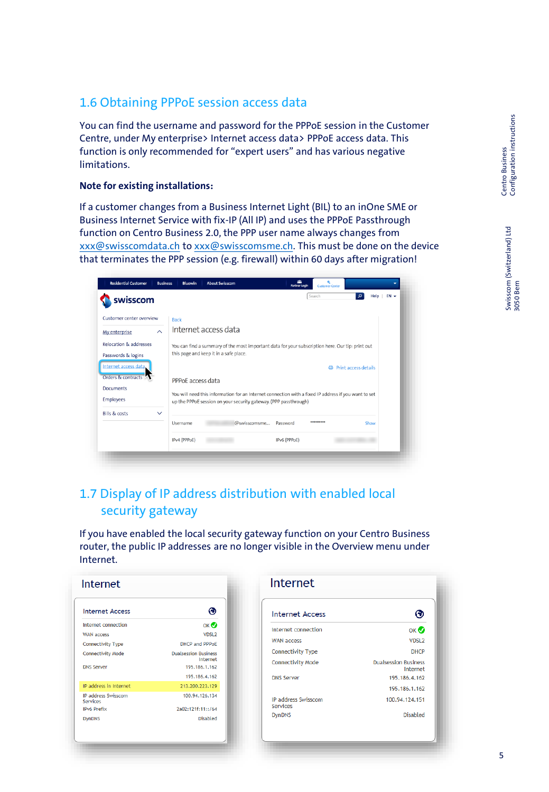#### 1.6 Obtaining PPPoE session access data

You can find the username and password for the PPPoE session in the Customer Centre, under My enterprise> Internet access data> PPPoE access data. This function is only recommended for "expert users" and has various negative limitations.

#### **Note for existing installations:**

If a customer changes from a Business Internet Light (BIL) to an inOne SME or Business Internet Service with fix-IP (All IP) and uses the PPPoE Passthrough function on Centro Business 2.0, the PPP user name always changes from [xxx@swisscomdata.ch](mailto:xxx@swisscomdata.ch) to [xxx@swisscomsme.ch](mailto:xxx@swisscomsme.ch). This must be done on the device that terminates the PPP session (e.g. firewall) within 60 days after migration!

| :wisscom                                                |              |                   |                                        |                                                                  |              | Search                                                                                               | ഛ<br>Help            | $FN -$ |
|---------------------------------------------------------|--------------|-------------------|----------------------------------------|------------------------------------------------------------------|--------------|------------------------------------------------------------------------------------------------------|----------------------|--------|
| Customer center overview<br>My enterprise               | $\lambda$    | <b>Back</b>       | Internet access data                   |                                                                  |              |                                                                                                      |                      |        |
| <b>Relocation &amp; addresses</b><br>Passwords & logins |              |                   | this page and keep it in a safe place. |                                                                  |              | You can find a summary of the most important data for your subscription here. Our tip: print out     |                      |        |
| Internet access data.<br>Orders & contracts             |              | PPPoE access data |                                        |                                                                  |              | a                                                                                                    | Print access details |        |
| <b>Documents</b><br><b>Employees</b>                    |              |                   |                                        | up the PPPoE session on your security gateway. (PPP passthrough) |              | You will need this information for an Internet connection with a fixed IP address if you want to set |                      |        |
| <b>Bills &amp; costs</b>                                | $\checkmark$ | Username          |                                        | @swisscomsme                                                     | Password     | *********                                                                                            | Show                 |        |
|                                                         |              | IPv4 (PPPoE)      |                                        |                                                                  | IPv6 (PPPoE) |                                                                                                      |                      |        |

### 1.7 Display of IP address distribution with enabled local security gateway

If you have enabled the local security gateway function on your Centro Business router, the public IP addresses are no longer visible in the Overview menu under Internet.